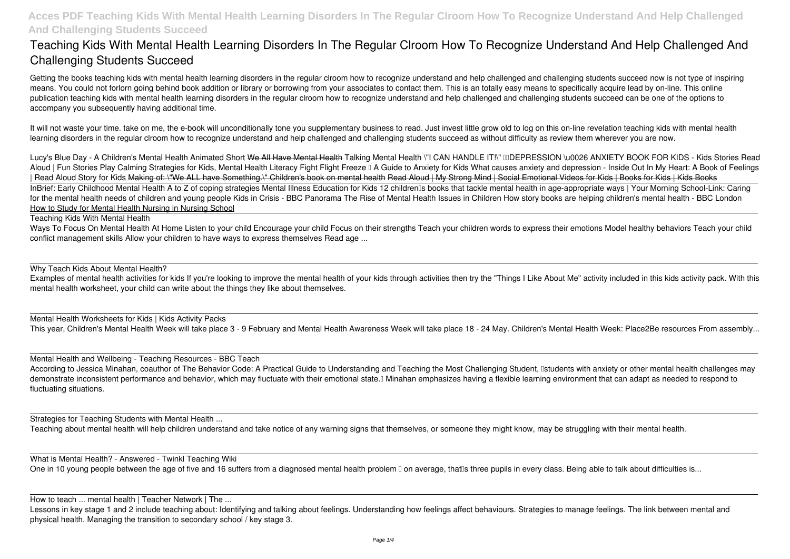# **Teaching Kids With Mental Health Learning Disorders In The Regular Clroom How To Recognize Understand And Help Challenged And Challenging Students Succeed**

It will not waste your time. take on me, the e-book will unconditionally tone you supplementary business to read. Just invest little grow old to log on this on-line revelation **teaching kids with mental health** learning disorders in the regular clroom how to recognize understand and help challenged and challenging students succeed as without difficulty as review them wherever you are now.

Getting the books **teaching kids with mental health learning disorders in the regular clroom how to recognize understand and help challenged and challenging students succeed** now is not type of inspiring means. You could not forlorn going behind book addition or library or borrowing from your associates to contact them. This is an totally easy means to specifically acquire lead by on-line. This online publication teaching kids with mental health learning disorders in the regular clroom how to recognize understand and help challenged and challenging students succeed can be one of the options to accompany you subsequently having additional time.

Lucy's Blue Day - A Children's Mental Health Animated Short We All Have Mental Health Talking Mental Health \"I CAN HANDLE IT!\" IIIDEPRESSION \u0026 ANXIETY BOOK FOR KIDS - Kids Stories Read Aloud | Fun Stories Play Calming Strategies for Kids, Mental Health Literacy Fight Flight Freeze II A Guide to Anxiety for Kids What causes anxiety and depression - Inside Out In My Heart: A Book of Feelings *| Read Aloud Story for Kids* Making of: \"We ALL have Something.\" Children's book on mental health Read Aloud | My Strong Mind | Social Emotional Videos for Kids | Books for Kids | Kids Books InBrief: Early Childhood Mental Health A to Z of coping strategies Mental Illness Education for Kids 12 children Is books that tackle mental health in age-appropriate ways | Your Morning School-Link: Caring for the mental health needs of children and young people Kids in Crisis - BBC Panorama The Rise of Mental Health Issues in Children How story books are helping children's mental health - BBC London How to Study for Mental Health Nursing in Nursing School

According to Jessica Minahan, coauthor of The Behavior Code: A Practical Guide to Understanding and Teaching the Most Challenging Student, Istudents with anxiety or other mental health challenges may demonstrate inconsistent performance and behavior, which may fluctuate with their emotional state.<sup>[]</sup> Minahan emphasizes having a flexible learning environment that can adapt as needed to respond to fluctuating situations.

Lessons in key stage 1 and 2 include teaching about: Identifying and talking about feelings. Understanding how feelings affect behaviours. Strategies to manage feelings. The link between mental and physical health. Managing the transition to secondary school / key stage 3.

Teaching Kids With Mental Health

Ways To Focus On Mental Health At Home Listen to your child Encourage your child Focus on their strengths Teach your children words to express their emotions Model healthy behaviors Teach your child conflict management skills Allow your children to have ways to express themselves Read age ...

Why Teach Kids About Mental Health?

Examples of mental health activities for kids If you're looking to improve the mental health of your kids through activities then try the "Things I Like About Me" activity included in this kids activity pack. With this mental health worksheet, your child can write about the things they like about themselves.

Mental Health Worksheets for Kids | Kids Activity Packs This year, Children's Mental Health Week will take place 3 - 9 February and Mental Health Awareness Week will take place 18 - 24 May. Children's Mental Health Week: Place2Be resources From assembly...

Mental Health and Wellbeing - Teaching Resources - BBC Teach

Strategies for Teaching Students with Mental Health ...

Teaching about mental health will help children understand and take notice of any warning signs that themselves, or someone they might know, may be struggling with their mental health.

What is Mental Health? - Answered - Twinkl Teaching Wiki

One in 10 young people between the age of five and 16 suffers from a diagnosed mental health problem I on average, that Is three pupils in every class. Being able to talk about difficulties is...

How to teach ... mental health | Teacher Network | The ...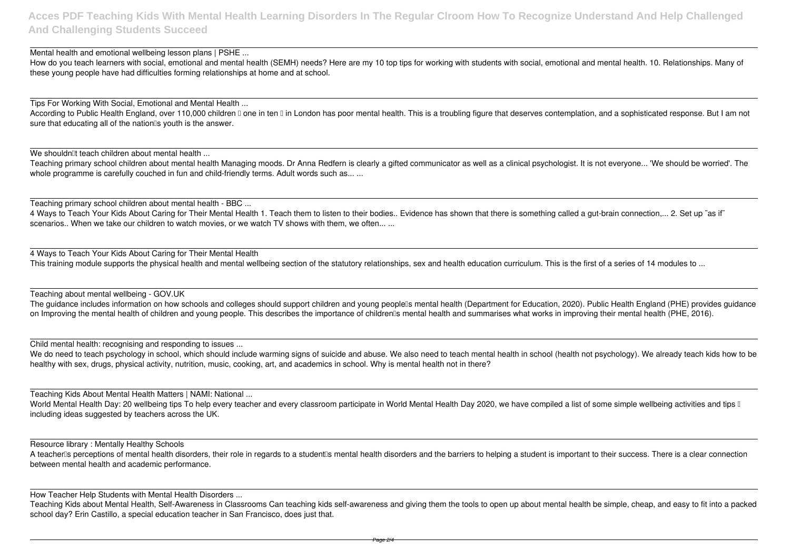Mental health and emotional wellbeing lesson plans | PSHE ...

How do you teach learners with social, emotional and mental health (SEMH) needs? Here are my 10 top tips for working with students with social, emotional and mental health. 10. Relationships. Many of these young people have had difficulties forming relationships at home and at school.

Teaching primary school children about mental health Managing moods. Dr Anna Redfern is clearly a gifted communicator as well as a clinical psychologist. It is not everyone... 'We should be worried'. The whole programme is carefully couched in fun and child-friendly terms. Adult words such as... ...

Tips For Working With Social, Emotional and Mental Health ...

According to Public Health England, over 110,000 children I one in ten I in London has poor mental health. This is a troubling figure that deserves contemplation, and a sophisticated response. But I am not sure that educating all of the nationlls youth is the answer.

We shouldn<sup>'''</sup>t teach children about mental health ...

4 Ways to Teach Your Kids About Caring for Their Mental Health This training module supports the physical health and mental wellbeing section of the statutory relationships, sex and health education curriculum. This is the first of a series of 14 modules to ...

The guidance includes information on how schools and colleges should support children and young people<sup>n</sup>s mental health (Department for Education, 2020). Public Health England (PHE) provides guidance on Improving the mental health of children and young people. This describes the importance of children's mental health and summarises what works in improving their mental health (PHE, 2016).

Teaching primary school children about mental health - BBC ...

4 Ways to Teach Your Kids About Caring for Their Mental Health 1. Teach them to listen to their bodies.. Evidence has shown that there is something called a gut-brain connection,... 2. Set up "as if" scenarios.. When we take our children to watch movies, or we watch TV shows with them, we often... ...

We do need to teach psychology in school, which should include warming signs of suicide and abuse. We also need to teach mental health in school (health not psychology). We already teach kids how to be healthy with sex, drugs, physical activity, nutrition, music, cooking, art, and academics in school. Why is mental health not in there?

World Mental Health Day: 20 wellbeing tips To help every teacher and every classroom participate in World Mental Health Day 2020, we have compiled a list of some simple wellbeing activities and tips I including ideas suggested by teachers across the UK.

A teacher<sup>n</sup>s perceptions of mental health disorders, their role in regards to a student<sup>n</sup>s mental health disorders and the barriers to helping a student is important to their success. There is a clear connection between mental health and academic performance.

Teaching about mental wellbeing - GOV.UK

Child mental health: recognising and responding to issues ...

Teaching Kids About Mental Health Matters | NAMI: National ...

Resource library : Mentally Healthy Schools

How Teacher Help Students with Mental Health Disorders ...

Teaching Kids about Mental Health, Self-Awareness in Classrooms Can teaching kids self-awareness and giving them the tools to open up about mental health be simple, cheap, and easy to fit into a packed school day? Erin Castillo, a special education teacher in San Francisco, does just that.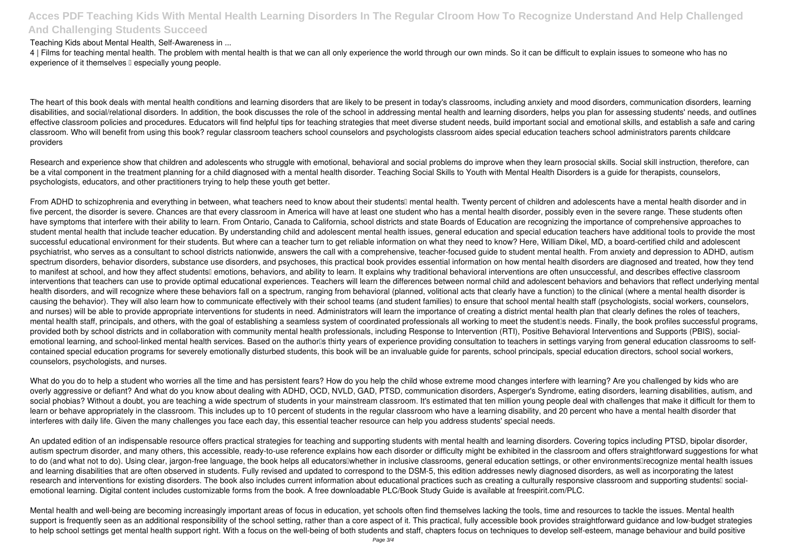### Teaching Kids about Mental Health, Self-Awareness in ...

4 | Films for teaching mental health. The problem with mental health is that we can all only experience the world through our own minds. So it can be difficult to explain issues to someone who has no experience of it themselves  $\square$  especially young people.

The heart of this book deals with mental health conditions and learning disorders that are likely to be present in today's classrooms, including anxiety and mood disorders, communication disorders, learning disabilities, and social/relational disorders. In addition, the book discusses the role of the school in addressing mental health and learning disorders, helps you plan for assessing students' needs, and outlines effective classroom policies and procedures. Educators will find helpful tips for teaching strategies that meet diverse student needs, build important social and emotional skills, and establish a safe and caring classroom. Who will benefit from using this book? regular classroom teachers school counselors and psychologists classroom aides special education teachers school administrators parents childcare providers

Research and experience show that children and adolescents who struggle with emotional, behavioral and social problems do improve when they learn prosocial skills. Social skill instruction, therefore, can be a vital component in the treatment planning for a child diagnosed with a mental health disorder. Teaching Social Skills to Youth with Mental Health Disorders is a guide for therapists, counselors, psychologists, educators, and other practitioners trying to help these youth get better.

From ADHD to schizophrenia and everything in between, what teachers need to know about their students<sup>[]</sup> mental health. Twenty percent of children and adolescents have a mental health disorder and in five percent, the disorder is severe. Chances are that every classroom in America will have at least one student who has a mental health disorder, possibly even in the severe range. These students often have symptoms that interfere with their ability to learn. From Ontario, Canada to California, school districts and state Boards of Education are recognizing the importance of comprehensive approaches to student mental health that include teacher education. By understanding child and adolescent mental health issues, general education and special education teachers have additional tools to provide the most successful educational environment for their students. But where can a teacher turn to get reliable information on what they need to know? Here, William Dikel, MD, a board-certified child and adolescent psychiatrist, who serves as a consultant to school districts nationwide, answers the call with a comprehensive, teacher-focused guide to student mental health. From anxiety and depression to ADHD, autism spectrum disorders, behavior disorders, substance use disorders, and psychoses, this practical book provides essential information on how mental health disorders are diagnosed and treated, how they tend to manifest at school, and how they affect students<sup>'</sup> emotions, behaviors, and ability to learn. It explains why traditional behavioral interventions are often unsuccessful, and describes effective classroom interventions that teachers can use to provide optimal educational experiences. Teachers will learn the differences between normal child and adolescent behaviors and behaviors that reflect underlying mental health disorders, and will recognize where these behaviors fall on a spectrum, ranging from behavioral (planned, volitional acts that clearly have a function) to the clinical (where a mental health disorder is causing the behavior). They will also learn how to communicate effectively with their school teams (and student families) to ensure that school mental health staff (psychologists, social workers, counselors, and nurses) will be able to provide appropriate interventions for students in need. Administrators will learn the importance of creating a district mental health plan that clearly defines the roles of teachers, mental health staff, principals, and others, with the goal of establishing a seamless system of coordinated professionals all working to meet the student is needs. Finally, the book profiles successful programs, provided both by school districts and in collaboration with community mental health professionals, including Response to Intervention (RTI), Positive Behavioral Interventions and Supports (PBIS), socialemotional learning, and school-linked mental health services. Based on the author<sup>n</sup>s thirty years of experience providing consultation to teachers in settings varying from general education classrooms to selfcontained special education programs for severely emotionally disturbed students, this book will be an invaluable guide for parents, school principals, special education directors, school social workers, counselors, psychologists, and nurses.

What do you do to help a student who worries all the time and has persistent fears? How do you help the child whose extreme mood changes interfere with learning? Are you challenged by kids who are overly aggressive or defiant? And what do you know about dealing with ADHD, OCD, NVLD, GAD, PTSD, communication disorders, Asperger's Syndrome, eating disorders, learning disabilities, autism, and social phobias? Without a doubt, you are teaching a wide spectrum of students in your mainstream classroom. It's estimated that ten million young people deal with challenges that make it difficult for them to learn or behave appropriately in the classroom. This includes up to 10 percent of students in the regular classroom who have a learning disability, and 20 percent who have a mental health disorder that interferes with daily life. Given the many challenges you face each day, this essential teacher resource can help you address students' special needs.

Mental health and well-being are becoming increasingly important areas of focus in education, yet schools often find themselves lacking the tools, time and resources to tackle the issues. Mental health support is frequently seen as an additional responsibility of the school setting, rather than a core aspect of it. This practical, fully accessible book provides straightforward quidance and low-budget strategies to help school settings get mental health support right. With a focus on the well-being of both students and staff, chapters focus on techniques to develop self-esteem, manage behaviour and build positive

An updated edition of an indispensable resource offers practical strategies for teaching and supporting students with mental health and learning disorders. Covering topics including PTSD, bipolar disorder, autism spectrum disorder, and many others, this accessible, ready-to-use reference explains how each disorder or difficulty might be exhibited in the classroom and offers straightforward suggestions for what to do (and what not to do). Using clear, jargon-free language, the book helps all educators whether in inclusive classrooms, general education settings, or other environments recognize mental health issues and learning disabilities that are often observed in students. Fully revised and updated to correspond to the DSM-5, this edition addresses newly diagnosed disorders, as well as incorporating the latest research and interventions for existing disorders. The book also includes current information about educational practices such as creating a culturally responsive classroom and supporting students! socialemotional learning. Digital content includes customizable forms from the book. A free downloadable PLC/Book Study Guide is available at freespirit.com/PLC.